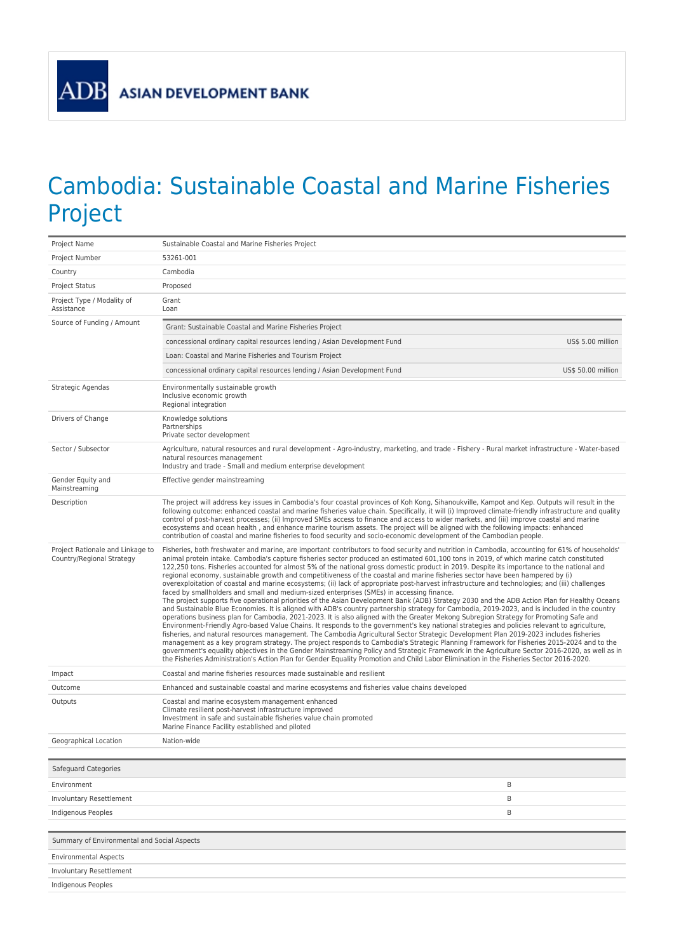## Cambodia: Sustainable Coastal and Marine Fisheries Project

| Project Name                                                  | Sustainable Coastal and Marine Fisheries Project                                                                                                                                                                                                                                                                                                                                                                                                                                                                                                                                                                                                                                                                                                                                                                                                                                                                                                                                                                                                                                                                                                                                                                                                                                                                                                                                                                                                                                                                                                                                                                                                                                                                                                                                                                                                                                                                                                                                                       |  |
|---------------------------------------------------------------|--------------------------------------------------------------------------------------------------------------------------------------------------------------------------------------------------------------------------------------------------------------------------------------------------------------------------------------------------------------------------------------------------------------------------------------------------------------------------------------------------------------------------------------------------------------------------------------------------------------------------------------------------------------------------------------------------------------------------------------------------------------------------------------------------------------------------------------------------------------------------------------------------------------------------------------------------------------------------------------------------------------------------------------------------------------------------------------------------------------------------------------------------------------------------------------------------------------------------------------------------------------------------------------------------------------------------------------------------------------------------------------------------------------------------------------------------------------------------------------------------------------------------------------------------------------------------------------------------------------------------------------------------------------------------------------------------------------------------------------------------------------------------------------------------------------------------------------------------------------------------------------------------------------------------------------------------------------------------------------------------------|--|
| Project Number                                                | 53261-001                                                                                                                                                                                                                                                                                                                                                                                                                                                                                                                                                                                                                                                                                                                                                                                                                                                                                                                                                                                                                                                                                                                                                                                                                                                                                                                                                                                                                                                                                                                                                                                                                                                                                                                                                                                                                                                                                                                                                                                              |  |
| Country                                                       | Cambodia                                                                                                                                                                                                                                                                                                                                                                                                                                                                                                                                                                                                                                                                                                                                                                                                                                                                                                                                                                                                                                                                                                                                                                                                                                                                                                                                                                                                                                                                                                                                                                                                                                                                                                                                                                                                                                                                                                                                                                                               |  |
| Project Status                                                | Proposed                                                                                                                                                                                                                                                                                                                                                                                                                                                                                                                                                                                                                                                                                                                                                                                                                                                                                                                                                                                                                                                                                                                                                                                                                                                                                                                                                                                                                                                                                                                                                                                                                                                                                                                                                                                                                                                                                                                                                                                               |  |
| Project Type / Modality of<br>Assistance                      | Grant<br>Loan                                                                                                                                                                                                                                                                                                                                                                                                                                                                                                                                                                                                                                                                                                                                                                                                                                                                                                                                                                                                                                                                                                                                                                                                                                                                                                                                                                                                                                                                                                                                                                                                                                                                                                                                                                                                                                                                                                                                                                                          |  |
| Source of Funding / Amount                                    | Grant: Sustainable Coastal and Marine Fisheries Project                                                                                                                                                                                                                                                                                                                                                                                                                                                                                                                                                                                                                                                                                                                                                                                                                                                                                                                                                                                                                                                                                                                                                                                                                                                                                                                                                                                                                                                                                                                                                                                                                                                                                                                                                                                                                                                                                                                                                |  |
|                                                               | US\$ 5.00 million<br>concessional ordinary capital resources lending / Asian Development Fund                                                                                                                                                                                                                                                                                                                                                                                                                                                                                                                                                                                                                                                                                                                                                                                                                                                                                                                                                                                                                                                                                                                                                                                                                                                                                                                                                                                                                                                                                                                                                                                                                                                                                                                                                                                                                                                                                                          |  |
|                                                               | Loan: Coastal and Marine Fisheries and Tourism Project                                                                                                                                                                                                                                                                                                                                                                                                                                                                                                                                                                                                                                                                                                                                                                                                                                                                                                                                                                                                                                                                                                                                                                                                                                                                                                                                                                                                                                                                                                                                                                                                                                                                                                                                                                                                                                                                                                                                                 |  |
|                                                               | concessional ordinary capital resources lending / Asian Development Fund<br>US\$ 50.00 million                                                                                                                                                                                                                                                                                                                                                                                                                                                                                                                                                                                                                                                                                                                                                                                                                                                                                                                                                                                                                                                                                                                                                                                                                                                                                                                                                                                                                                                                                                                                                                                                                                                                                                                                                                                                                                                                                                         |  |
| Strategic Agendas                                             | Environmentally sustainable growth<br>Inclusive economic growth<br>Regional integration                                                                                                                                                                                                                                                                                                                                                                                                                                                                                                                                                                                                                                                                                                                                                                                                                                                                                                                                                                                                                                                                                                                                                                                                                                                                                                                                                                                                                                                                                                                                                                                                                                                                                                                                                                                                                                                                                                                |  |
| Drivers of Change                                             | Knowledge solutions<br>Partnerships<br>Private sector development                                                                                                                                                                                                                                                                                                                                                                                                                                                                                                                                                                                                                                                                                                                                                                                                                                                                                                                                                                                                                                                                                                                                                                                                                                                                                                                                                                                                                                                                                                                                                                                                                                                                                                                                                                                                                                                                                                                                      |  |
| Sector / Subsector                                            | Agriculture, natural resources and rural development - Agro-industry, marketing, and trade - Fishery - Rural market infrastructure - Water-based<br>natural resources management<br>Industry and trade - Small and medium enterprise development                                                                                                                                                                                                                                                                                                                                                                                                                                                                                                                                                                                                                                                                                                                                                                                                                                                                                                                                                                                                                                                                                                                                                                                                                                                                                                                                                                                                                                                                                                                                                                                                                                                                                                                                                       |  |
| Gender Equity and<br>Mainstreaming                            | Effective gender mainstreaming                                                                                                                                                                                                                                                                                                                                                                                                                                                                                                                                                                                                                                                                                                                                                                                                                                                                                                                                                                                                                                                                                                                                                                                                                                                                                                                                                                                                                                                                                                                                                                                                                                                                                                                                                                                                                                                                                                                                                                         |  |
| Description                                                   | The project will address key issues in Cambodia's four coastal provinces of Koh Kong, Sihanoukville, Kampot and Kep. Outputs will result in the<br>following outcome: enhanced coastal and marine fisheries value chain. Specifically, it will (i) Improved climate-friendly infrastructure and quality<br>control of post-harvest processes; (ii) Improved SMEs access to finance and access to wider markets, and (iii) improve coastal and marine<br>ecosystems and ocean health, and enhance marine tourism assets. The project will be aligned with the following impacts: enhanced<br>contribution of coastal and marine fisheries to food security and socio-economic development of the Cambodian people.                                                                                                                                                                                                                                                                                                                                                                                                                                                                                                                                                                                                                                                                                                                                                                                                                                                                                                                                                                                                                                                                                                                                                                                                                                                                                      |  |
| Project Rationale and Linkage to<br>Country/Regional Strategy | Fisheries, both freshwater and marine, are important contributors to food security and nutrition in Cambodia, accounting for 61% of households'<br>animal protein intake. Cambodia's capture fisheries sector produced an estimated 601,100 tons in 2019, of which marine catch constituted<br>122,250 tons. Fisheries accounted for almost 5% of the national gross domestic product in 2019. Despite its importance to the national and<br>regional economy, sustainable growth and competitiveness of the coastal and marine fisheries sector have been hampered by (i)<br>overexploitation of coastal and marine ecosystems; (ii) lack of appropriate post-harvest infrastructure and technologies; and (iii) challenges<br>faced by smallholders and small and medium-sized enterprises (SMEs) in accessing finance.<br>The project supports five operational priorities of the Asian Development Bank (ADB) Strategy 2030 and the ADB Action Plan for Healthy Oceans<br>and Sustainable Blue Economies. It is aligned with ADB's country partnership strategy for Cambodia, 2019-2023, and is included in the country<br>operations business plan for Cambodia, 2021-2023. It is also aligned with the Greater Mekong Subregion Strategy for Promoting Safe and<br>Environment-Friendly Agro-based Value Chains. It responds to the government's key national strategies and policies relevant to agriculture,<br>fisheries, and natural resources management. The Cambodia Agricultural Sector Strategic Development Plan 2019-2023 includes fisheries<br>management as a key program strategy. The project responds to Cambodia's Strategic Planning Framework for Fisheries 2015-2024 and to the<br>government's equality objectives in the Gender Mainstreaming Policy and Strategic Framework in the Agriculture Sector 2016-2020, as well as in<br>the Fisheries Administration's Action Plan for Gender Equality Promotion and Child Labor Elimination in the Fisheries Sector 2016-2020. |  |
| Impact                                                        | Coastal and marine fisheries resources made sustainable and resilient                                                                                                                                                                                                                                                                                                                                                                                                                                                                                                                                                                                                                                                                                                                                                                                                                                                                                                                                                                                                                                                                                                                                                                                                                                                                                                                                                                                                                                                                                                                                                                                                                                                                                                                                                                                                                                                                                                                                  |  |
| Outcome                                                       | Enhanced and sustainable coastal and marine ecosystems and fisheries value chains developed                                                                                                                                                                                                                                                                                                                                                                                                                                                                                                                                                                                                                                                                                                                                                                                                                                                                                                                                                                                                                                                                                                                                                                                                                                                                                                                                                                                                                                                                                                                                                                                                                                                                                                                                                                                                                                                                                                            |  |
| Outputs                                                       | Coastal and marine ecosystem management enhanced<br>Climate resilient post-harvest infrastructure improved<br>Investment in safe and sustainable fisheries value chain promoted<br>Marine Finance Facility established and piloted                                                                                                                                                                                                                                                                                                                                                                                                                                                                                                                                                                                                                                                                                                                                                                                                                                                                                                                                                                                                                                                                                                                                                                                                                                                                                                                                                                                                                                                                                                                                                                                                                                                                                                                                                                     |  |
| Geographical Location                                         | Nation-wide                                                                                                                                                                                                                                                                                                                                                                                                                                                                                                                                                                                                                                                                                                                                                                                                                                                                                                                                                                                                                                                                                                                                                                                                                                                                                                                                                                                                                                                                                                                                                                                                                                                                                                                                                                                                                                                                                                                                                                                            |  |
|                                                               |                                                                                                                                                                                                                                                                                                                                                                                                                                                                                                                                                                                                                                                                                                                                                                                                                                                                                                                                                                                                                                                                                                                                                                                                                                                                                                                                                                                                                                                                                                                                                                                                                                                                                                                                                                                                                                                                                                                                                                                                        |  |
| Safeguard Categories                                          |                                                                                                                                                                                                                                                                                                                                                                                                                                                                                                                                                                                                                                                                                                                                                                                                                                                                                                                                                                                                                                                                                                                                                                                                                                                                                                                                                                                                                                                                                                                                                                                                                                                                                                                                                                                                                                                                                                                                                                                                        |  |
| Environment                                                   | B                                                                                                                                                                                                                                                                                                                                                                                                                                                                                                                                                                                                                                                                                                                                                                                                                                                                                                                                                                                                                                                                                                                                                                                                                                                                                                                                                                                                                                                                                                                                                                                                                                                                                                                                                                                                                                                                                                                                                                                                      |  |
| Involuntary Resettlement                                      | B                                                                                                                                                                                                                                                                                                                                                                                                                                                                                                                                                                                                                                                                                                                                                                                                                                                                                                                                                                                                                                                                                                                                                                                                                                                                                                                                                                                                                                                                                                                                                                                                                                                                                                                                                                                                                                                                                                                                                                                                      |  |
| Indigenous Peoples                                            | B                                                                                                                                                                                                                                                                                                                                                                                                                                                                                                                                                                                                                                                                                                                                                                                                                                                                                                                                                                                                                                                                                                                                                                                                                                                                                                                                                                                                                                                                                                                                                                                                                                                                                                                                                                                                                                                                                                                                                                                                      |  |
|                                                               |                                                                                                                                                                                                                                                                                                                                                                                                                                                                                                                                                                                                                                                                                                                                                                                                                                                                                                                                                                                                                                                                                                                                                                                                                                                                                                                                                                                                                                                                                                                                                                                                                                                                                                                                                                                                                                                                                                                                                                                                        |  |
| Summary of Environmental and Social Aspects                   |                                                                                                                                                                                                                                                                                                                                                                                                                                                                                                                                                                                                                                                                                                                                                                                                                                                                                                                                                                                                                                                                                                                                                                                                                                                                                                                                                                                                                                                                                                                                                                                                                                                                                                                                                                                                                                                                                                                                                                                                        |  |
| <b>Environmental Aspects</b>                                  |                                                                                                                                                                                                                                                                                                                                                                                                                                                                                                                                                                                                                                                                                                                                                                                                                                                                                                                                                                                                                                                                                                                                                                                                                                                                                                                                                                                                                                                                                                                                                                                                                                                                                                                                                                                                                                                                                                                                                                                                        |  |
| Involuntary Resettlement                                      |                                                                                                                                                                                                                                                                                                                                                                                                                                                                                                                                                                                                                                                                                                                                                                                                                                                                                                                                                                                                                                                                                                                                                                                                                                                                                                                                                                                                                                                                                                                                                                                                                                                                                                                                                                                                                                                                                                                                                                                                        |  |
| Indigenous Peoples                                            |                                                                                                                                                                                                                                                                                                                                                                                                                                                                                                                                                                                                                                                                                                                                                                                                                                                                                                                                                                                                                                                                                                                                                                                                                                                                                                                                                                                                                                                                                                                                                                                                                                                                                                                                                                                                                                                                                                                                                                                                        |  |